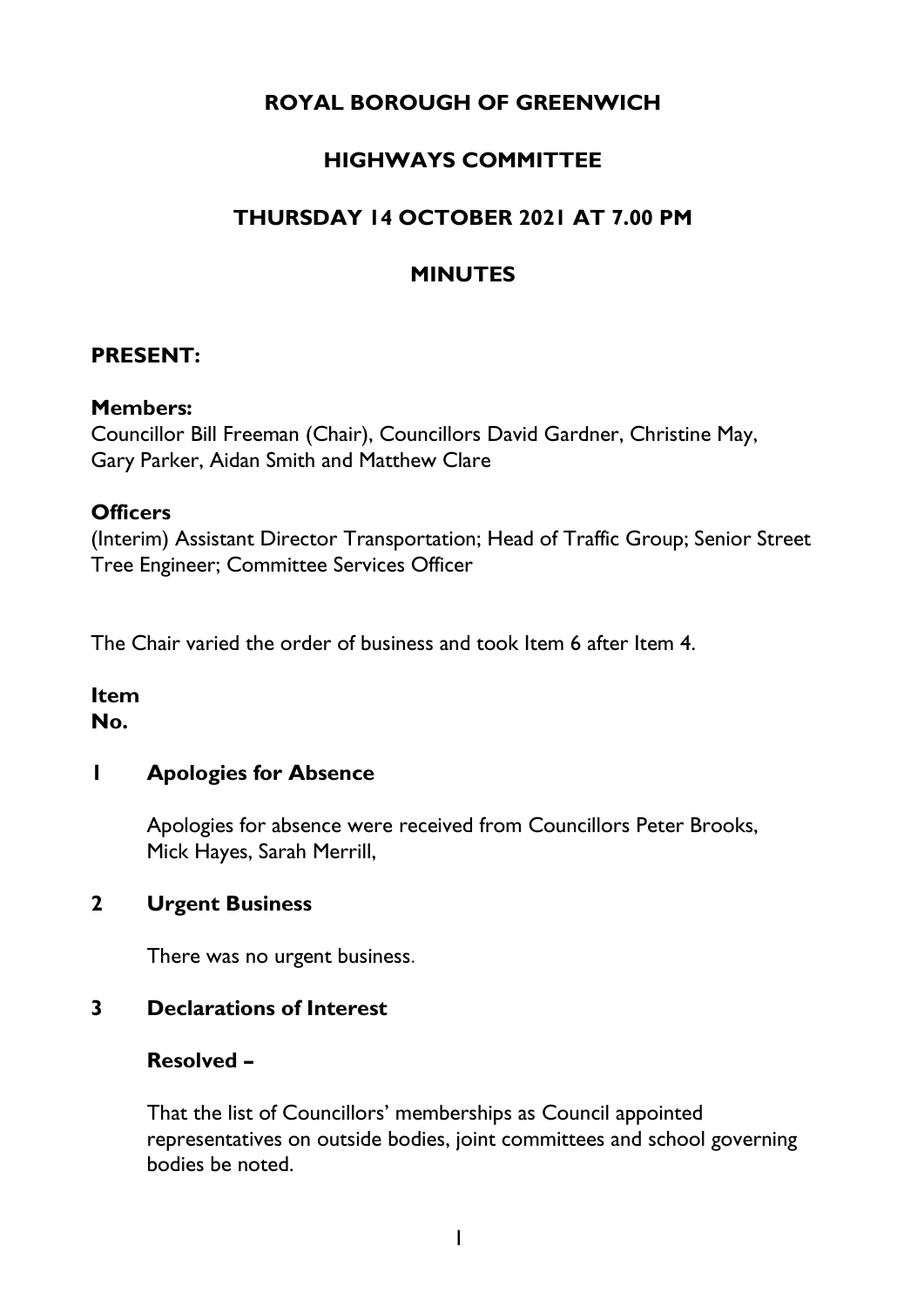# **ROYAL BOROUGH OF GREENWICH**

# **HIGHWAYS COMMITTEE**

# **THURSDAY 14 OCTOBER 2021 AT 7.00 PM**

## **MINUTES**

#### **PRESENT:**

#### **Members:**

Councillor Bill Freeman (Chair), Councillors David Gardner, Christine May, Gary Parker, Aidan Smith and Matthew Clare

#### **Officers**

(Interim) Assistant Director Transportation; Head of Traffic Group; Senior Street Tree Engineer; Committee Services Officer

The Chair varied the order of business and took Item 6 after Item 4.

#### **Item No.**

### **1 Apologies for Absence**

Apologies for absence were received from Councillors Peter Brooks, Mick Hayes, Sarah Merrill,

#### **2 Urgent Business**

There was no urgent business.

### **3 Declarations of Interest**

#### **Resolved –**

That the list of Councillors' memberships as Council appointed representatives on outside bodies, joint committees and school governing bodies be noted.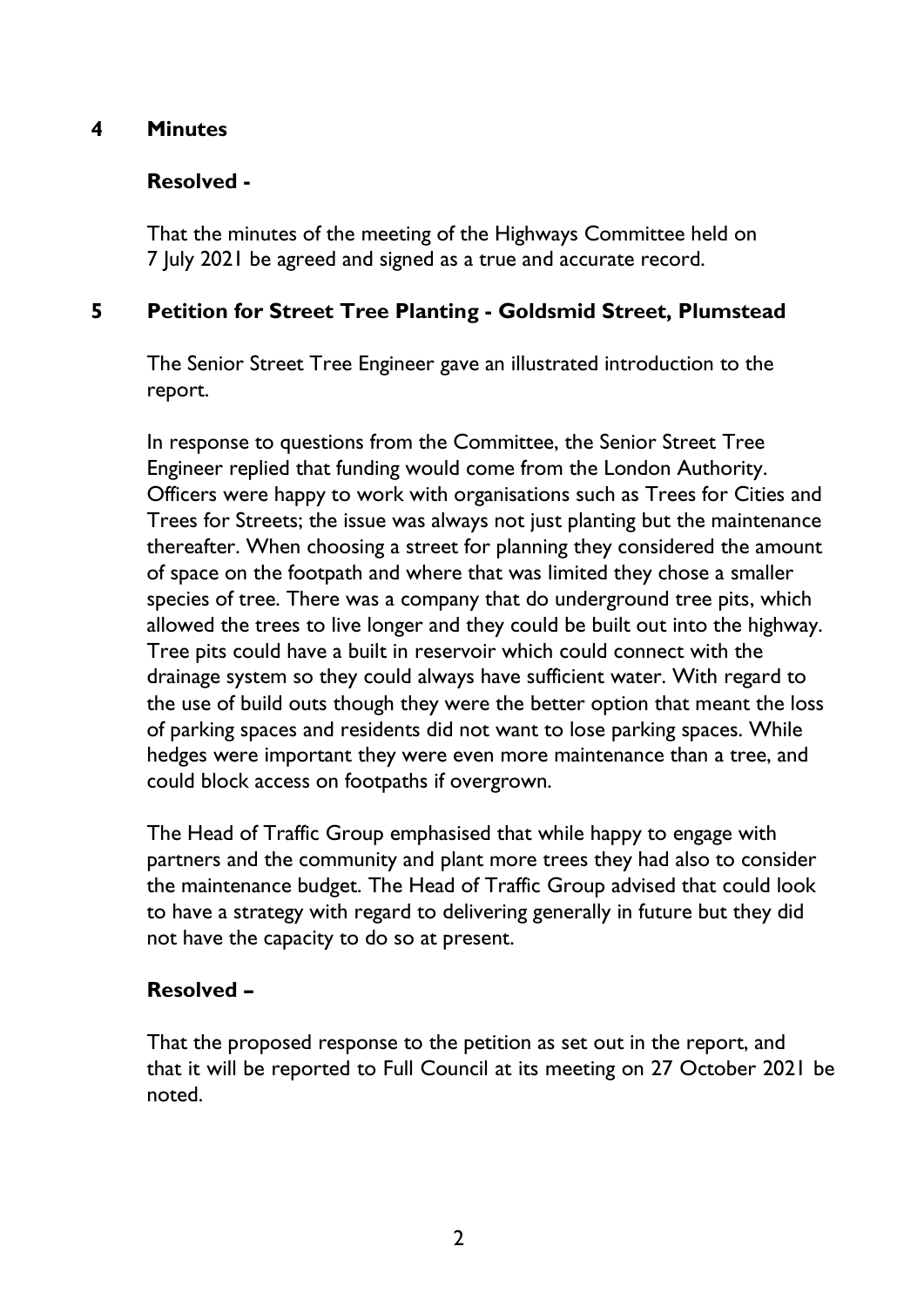### **4 Minutes**

### **Resolved -**

That the minutes of the meeting of the Highways Committee held on 7 July 2021 be agreed and signed as a true and accurate record.

### **5 Petition for Street Tree Planting - Goldsmid Street, Plumstead**

The Senior Street Tree Engineer gave an illustrated introduction to the report.

In response to questions from the Committee, the Senior Street Tree Engineer replied that funding would come from the London Authority. Officers were happy to work with organisations such as Trees for Cities and Trees for Streets; the issue was always not just planting but the maintenance thereafter. When choosing a street for planning they considered the amount of space on the footpath and where that was limited they chose a smaller species of tree. There was a company that do underground tree pits, which allowed the trees to live longer and they could be built out into the highway. Tree pits could have a built in reservoir which could connect with the drainage system so they could always have sufficient water. With regard to the use of build outs though they were the better option that meant the loss of parking spaces and residents did not want to lose parking spaces. While hedges were important they were even more maintenance than a tree, and could block access on footpaths if overgrown.

The Head of Traffic Group emphasised that while happy to engage with partners and the community and plant more trees they had also to consider the maintenance budget. The Head of Traffic Group advised that could look to have a strategy with regard to delivering generally in future but they did not have the capacity to do so at present.

### **Resolved –**

That the proposed response to the petition as set out in the report, and that it will be reported to Full Council at its meeting on 27 October 2021 be noted.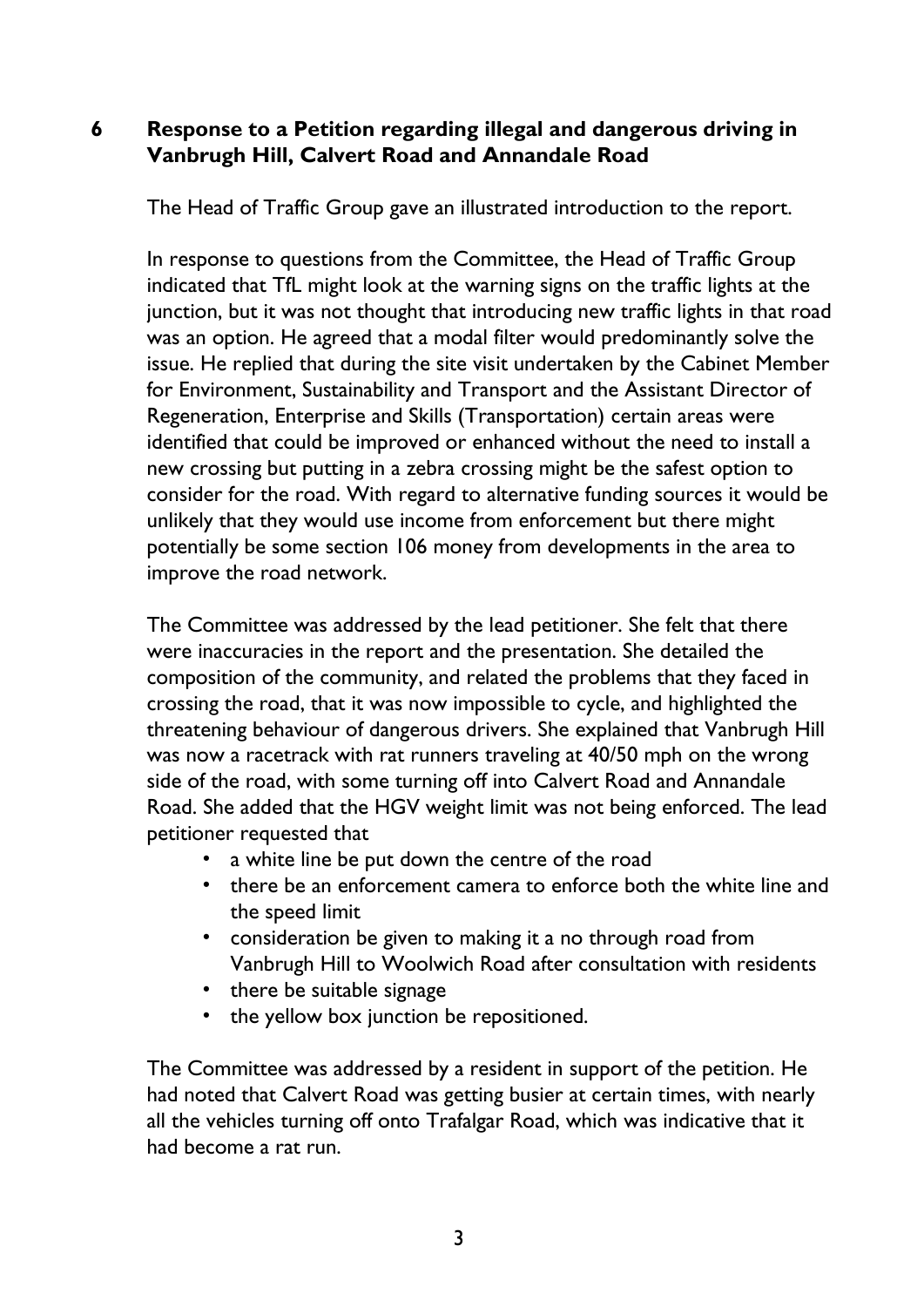### **6 Response to a Petition regarding illegal and dangerous driving in Vanbrugh Hill, Calvert Road and Annandale Road**

The Head of Traffic Group gave an illustrated introduction to the report.

In response to questions from the Committee, the Head of Traffic Group indicated that TfL might look at the warning signs on the traffic lights at the junction, but it was not thought that introducing new traffic lights in that road was an option. He agreed that a modal filter would predominantly solve the issue. He replied that during the site visit undertaken by the Cabinet Member for Environment, Sustainability and Transport and the Assistant Director of Regeneration, Enterprise and Skills (Transportation) certain areas were identified that could be improved or enhanced without the need to install a new crossing but putting in a zebra crossing might be the safest option to consider for the road. With regard to alternative funding sources it would be unlikely that they would use income from enforcement but there might potentially be some section 106 money from developments in the area to improve the road network.

The Committee was addressed by the lead petitioner. She felt that there were inaccuracies in the report and the presentation. She detailed the composition of the community, and related the problems that they faced in crossing the road, that it was now impossible to cycle, and highlighted the threatening behaviour of dangerous drivers. She explained that Vanbrugh Hill was now a racetrack with rat runners traveling at 40/50 mph on the wrong side of the road, with some turning off into Calvert Road and Annandale Road. She added that the HGV weight limit was not being enforced. The lead petitioner requested that

- a white line be put down the centre of the road
- there be an enforcement camera to enforce both the white line and the speed limit
- consideration be given to making it a no through road from Vanbrugh Hill to Woolwich Road after consultation with residents
- there be suitable signage
- the yellow box junction be repositioned.

The Committee was addressed by a resident in support of the petition. He had noted that Calvert Road was getting busier at certain times, with nearly all the vehicles turning off onto Trafalgar Road, which was indicative that it had become a rat run.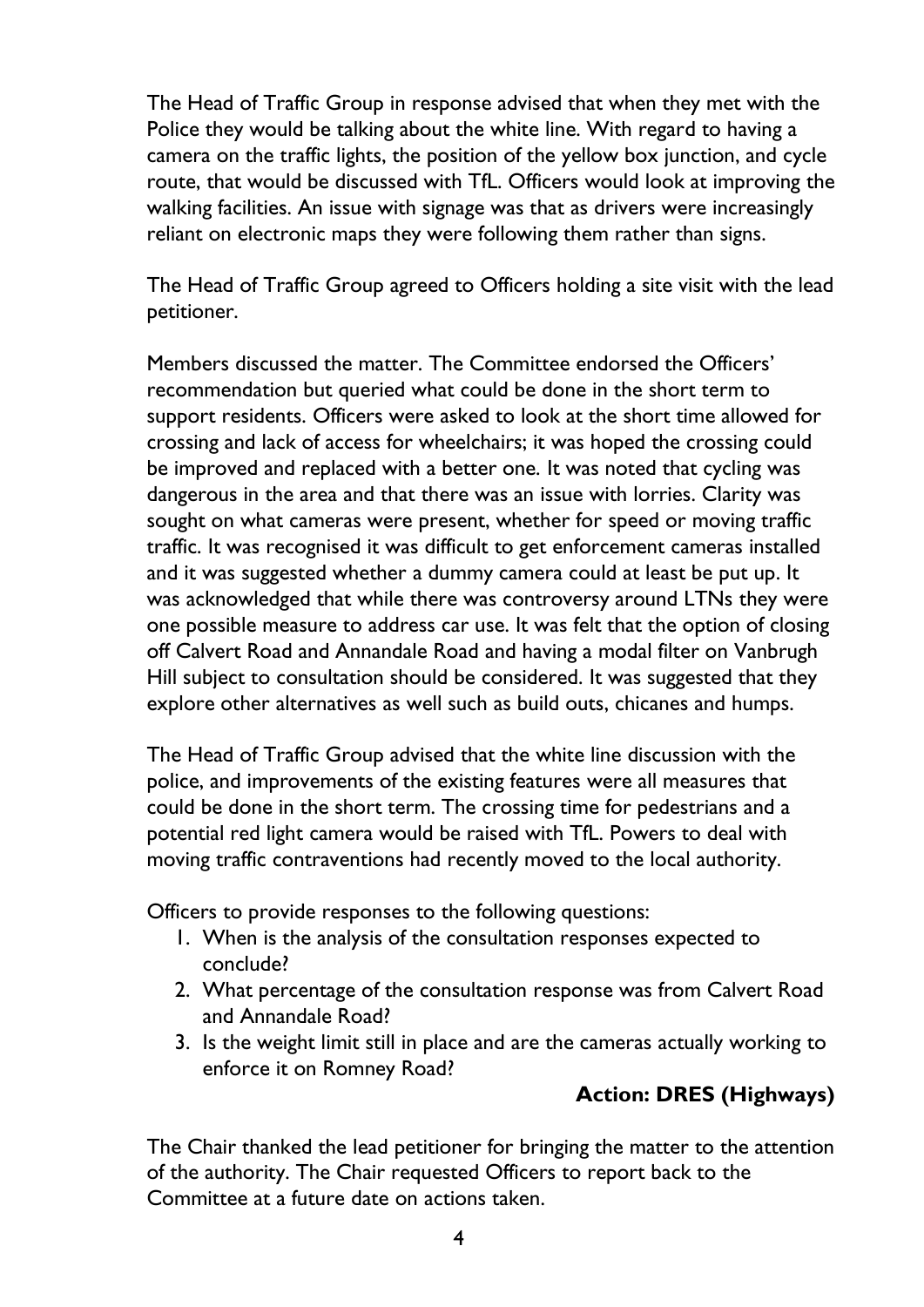The Head of Traffic Group in response advised that when they met with the Police they would be talking about the white line. With regard to having a camera on the traffic lights, the position of the yellow box junction, and cycle route, that would be discussed with TfL. Officers would look at improving the walking facilities. An issue with signage was that as drivers were increasingly reliant on electronic maps they were following them rather than signs.

The Head of Traffic Group agreed to Officers holding a site visit with the lead petitioner.

Members discussed the matter. The Committee endorsed the Officers' recommendation but queried what could be done in the short term to support residents. Officers were asked to look at the short time allowed for crossing and lack of access for wheelchairs; it was hoped the crossing could be improved and replaced with a better one. It was noted that cycling was dangerous in the area and that there was an issue with lorries. Clarity was sought on what cameras were present, whether for speed or moving traffic traffic. It was recognised it was difficult to get enforcement cameras installed and it was suggested whether a dummy camera could at least be put up. It was acknowledged that while there was controversy around LTNs they were one possible measure to address car use. It was felt that the option of closing off Calvert Road and Annandale Road and having a modal filter on Vanbrugh Hill subject to consultation should be considered. It was suggested that they explore other alternatives as well such as build outs, chicanes and humps.

The Head of Traffic Group advised that the white line discussion with the police, and improvements of the existing features were all measures that could be done in the short term. The crossing time for pedestrians and a potential red light camera would be raised with TfL. Powers to deal with moving traffic contraventions had recently moved to the local authority.

Officers to provide responses to the following questions:

- 1. When is the analysis of the consultation responses expected to conclude?
- 2. What percentage of the consultation response was from Calvert Road and Annandale Road?
- 3. Is the weight limit still in place and are the cameras actually working to enforce it on Romney Road?

## **Action: DRES (Highways)**

The Chair thanked the lead petitioner for bringing the matter to the attention of the authority. The Chair requested Officers to report back to the Committee at a future date on actions taken.